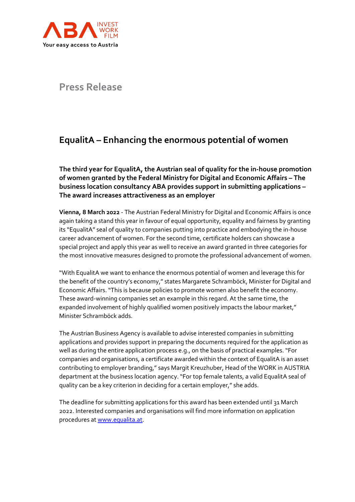

**Press Release**

## **EqualitA – Enhancing the enormous potential of women**

**The third year for EqualitA, the Austrian seal of quality for the in-house promotion of women granted by the Federal Ministry for Digital and Economic Affairs – The business location consultancy ABA provides support in submitting applications – The award increases attractiveness as an employer**

**Vienna, 8 March 2022** - The Austrian Federal Ministry for Digital and Economic Affairs is once again taking a stand this year in favour of equal opportunity, equality and fairness by granting its "EqualitA" seal of quality to companies putting into practice and embodying the in-house career advancement of women. For the second time, certificate holders can showcase a special project and apply this year as well to receive an award granted in three categories for the most innovative measures designed to promote the professional advancement of women.

"With EqualitA we want to enhance the enormous potential of women and leverage this for the benefit of the country's economy," states Margarete Schramböck, Minister for Digital and Economic Affairs. "This is because policies to promote women also benefit the economy. These award-winning companies set an example in this regard. At the same time, the expanded involvement of highly qualified women positively impacts the labour market," Minister Schramböck adds.

The Austrian Business Agency is available to advise interested companies in submitting applications and provides support in preparing the documents required for the application as well as during the entire application process e.g., on the basis of practical examples. "For companies and organisations, a certificate awarded within the context of EqualitA is an asset contributing to employer branding," says Margit Kreuzhuber, Head of the WORK in AUSTRIA department at the business location agency. "For top female talents, a valid EqualitA seal of quality can be a key criterion in deciding for a certain employer," she adds.

The deadline for submitting applications for this award has been extended until 31 March 2022. Interested companies and organisations will find more information on application procedures a[t www.equalita.at.](https://www.bmdw.gv.at/Themen/Wirtschaftsstandort-Oesterreich/equalitA.html)